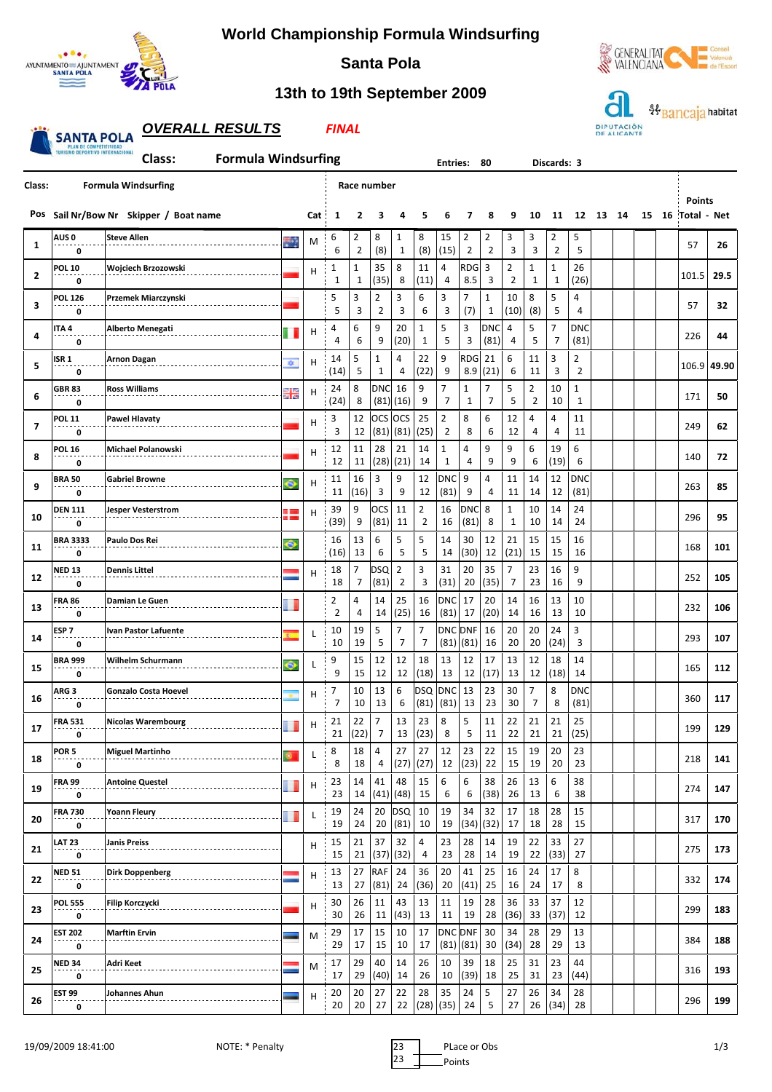

## **World Championship Formula Windsurfing**



## **13th to 19th September 2009**

**Santa Pola**



|                                                                                                                                                 | <b>OVERALL RESULTS</b><br><b>FINAL</b> |                                        |    |     |                     |                     |                     |                     |                     |                                  |                          |                     |                                  |                     | DIPUTACIÓN<br>DE ALICANTE |                              |    | baricaja |    |    |                              |       |
|-------------------------------------------------------------------------------------------------------------------------------------------------|----------------------------------------|----------------------------------------|----|-----|---------------------|---------------------|---------------------|---------------------|---------------------|----------------------------------|--------------------------|---------------------|----------------------------------|---------------------|---------------------------|------------------------------|----|----------|----|----|------------------------------|-------|
| PLAN DE COMPETITIVIDAD<br><b>TURISMO DEPORTIVO INTERNACIONA</b><br><b>Formula Windsurfing</b><br>Class:<br><b>Entries:</b><br>80<br>Discards: 3 |                                        |                                        |    |     |                     |                     |                     |                     |                     |                                  |                          |                     |                                  |                     |                           |                              |    |          |    |    |                              |       |
| Class:                                                                                                                                          |                                        | <b>Formula Windsurfing</b>             |    |     |                     |                     | Race number         |                     |                     |                                  |                          |                     |                                  |                     |                           |                              |    |          |    |    |                              |       |
|                                                                                                                                                 |                                        | Pos Sail Nr/Bow Nr Skipper / Boat name |    | Cat | 1                   | 2                   | З                   | 4                   | 5                   | 6                                | 7                        | 8                   | 9                                | 10                  | 11                        | 12                           | 13 | 14       | 15 | 16 | <b>Points</b><br>Total - Net |       |
| 1                                                                                                                                               | AUS 0<br>0                             | <b>Steve Allen</b>                     | m  | M   | 6<br>6              | 2<br>$\overline{2}$ | 8<br>(8)            | 1<br>$\mathbf{1}$   | 8<br>(8)            | 15<br>(15)                       | 2<br>$\overline{2}$      | 2<br>$\overline{2}$ | 3<br>3                           | 3<br>3              | 2<br>$\overline{2}$       | 5<br>5                       |    |          |    |    | 57                           | 26    |
| $\overline{2}$                                                                                                                                  | <b>POL 10</b><br>0                     | Wojciech Brzozowski                    |    | н   | 1<br>1              | 1<br>1              | 35<br>(35)          | 8<br>8              | 11<br>(11)          | 4<br>4                           | <b>RDG</b><br>8.5        | 3<br>3              | $\overline{2}$<br>$\overline{2}$ | $\mathbf{1}$<br>1   | 1<br>1                    | 26<br>(26)                   |    |          |    |    | 101.5                        | 29.5  |
| 3                                                                                                                                               | <b>POL 126</b><br>0                    | Przemek Miarczynski                    |    |     | 5<br>5              | 3<br>3              | 2<br>$\overline{2}$ | 3<br>3              | 6<br>6              | 3<br>3                           | 7<br>(7)                 | 1<br>1              | 10<br>(10)                       | 8<br>(8)            | 5<br>5                    | 4<br>4                       |    |          |    |    | 57                           | 32    |
| 4                                                                                                                                               | ITA 4<br>0                             | <b>Alberto Menegati</b>                |    | Н   | 4<br>4              | 6<br>6              | 9<br>9              | 20<br>(20)          | $\mathbf{1}$<br>1   | 5<br>5                           | 3<br>3                   | DNC<br>(81)         | 4<br>4                           | 5<br>5              | 7<br>$\overline{7}$       | DNC<br>(81)                  |    |          |    |    | 226                          | 44    |
| 5                                                                                                                                               | ISR 1<br>0                             | Arnon Dagan                            | 幸  | H   | 14<br>(14)          | 5<br>5              | 1<br>1              | 4<br>4              | 22<br>(22)          | 9<br>9                           | <b>RDG</b><br>8.9        | 21<br>(21)          | 6<br>6                           | 11<br>11            | 3<br>3                    | 2<br>$\overline{2}$          |    |          |    |    | 106.9                        | 49.90 |
| 6                                                                                                                                               | <b>GBR 83</b><br>0                     | <b>Ross Williams</b>                   | 噐  | H   | 24<br>(24)          | 8<br>8              | <b>DNC</b><br>(81)  | 16<br>(16)          | 9<br>9              | 7<br>$\overline{7}$              | 1<br>$\mathbf{1}$        | 7<br>$\overline{7}$ | 5<br>5                           | 2<br>$\overline{2}$ | $10\,$<br>10              | $\mathbf{1}$<br>$\mathbf{1}$ |    |          |    |    | 171                          | 50    |
| $\overline{\mathbf{z}}$                                                                                                                         | <b>POL 11</b><br>0                     | <b>Pawel Hlavaty</b>                   |    | H   | 3<br>3              | 12<br>12            | <b>OCS</b><br>(81)  | <b>OCS</b><br>(81)  | 25<br>(25)          | $\overline{2}$<br>$\overline{2}$ | 8<br>8                   | 6<br>6              | 12<br>12                         | 4<br>4              | 4<br>4                    | 11<br>11                     |    |          |    |    | 249                          | 62    |
| 8                                                                                                                                               | <b>POL 16</b><br>0                     | <b>Michael Polanowski</b>              |    | H   | 12<br>12            | 11<br>11            | 28<br>(28)          | 21<br>(21)          | 14<br>14            | $\mathbf{1}$<br>1                | 4<br>4                   | 9<br>9              | 9<br>9                           | 6<br>6              | 19<br>(19)                | 6<br>6                       |    |          |    |    | 140                          | 72    |
| 9                                                                                                                                               | <b>BRA 50</b><br>0                     | <b>Gabriel Browne</b>                  |    | H   | 11<br>11            | 16<br>(16)          | 3<br>3              | 9<br>9              | 12<br>12            | DNC<br>(81)                      | 9<br>9                   | 4<br>4              | 11<br>11                         | 14<br>14            | 12<br>12                  | DNC<br>(81)                  |    |          |    |    | 263                          | 85    |
| 10                                                                                                                                              | <b>DEN 111</b><br>0                    | Jesper Vesterstrom                     |    | Н   | 39<br>(39)          | 9<br>9              | OCS<br>(81)         | 11<br>11            | $\overline{2}$<br>2 | 16<br>16                         | <b>DNC</b><br>(81)       | 8<br>8              | $\mathbf{1}$<br>$\mathbf{1}$     | 10<br>10            | 14<br>14                  | 24<br>24                     |    |          |    |    | 296                          | 95    |
| 11                                                                                                                                              | <b>BRA 3333</b><br>0                   | Paulo Dos Rei                          | ၜ  |     | 16<br>(16)          | 13<br>13            | 6<br>6              | 5<br>5              | 5<br>5              | 14<br>14                         | 30<br>(30)               | 12<br>12            | 21<br>(21)                       | 15<br>15            | 15<br>15                  | 16<br>16                     |    |          |    |    | 168                          | 101   |
| 12                                                                                                                                              | NED 13<br>0                            | <b>Dennis Littel</b>                   |    | H   | 18<br>18            | 7<br>7              | DSQ<br>(81)         | 2<br>$\overline{2}$ | 3<br>3              | 31<br>(31)                       | 20<br>20                 | 35<br>(35)          | 7<br>7                           | 23<br>23            | 16<br>16                  | 9<br>9                       |    |          |    |    | 252                          | 105   |
| 13                                                                                                                                              | <b>FRA 86</b><br>0                     | Damian Le Guen                         |    |     | 2<br>$\overline{2}$ | 4<br>4              | 14<br>14            | 25<br>(25)          | 16<br>16            | <b>DNC</b><br>(81)               | 17<br>17                 | 20<br>(20)          | 14<br>14                         | 16<br>16            | 13<br>13                  | 10<br>10                     |    |          |    |    | 232                          | 106   |
| 14                                                                                                                                              | ESP <sub>7</sub><br>0                  | Ivan Pastor Lafuente                   | ×. | L   | 10<br>10            | 19<br>19            | 5<br>5              | 7<br>7              | 7<br>$\overline{7}$ | (81)                             | DNC DNF<br>(81)          | 16<br>16            | 20<br>20                         | 20<br>20            | 24<br>(24)                | 3<br>3                       |    |          |    |    | 293                          | 107   |
| 15                                                                                                                                              | <b>BRA 999</b><br>0                    | Wilhelm Schurmann                      | ⊙  | L   | 9<br>9              | 15<br>15            | 12<br>12            | 12<br>12            | 18<br>(18)          | 13<br>13                         | 12<br>12                 | 17<br>(17)          | 13<br>13                         | 12<br>12            | 18<br>(18)                | 14<br>14                     |    |          |    |    | 165                          | 112   |
| 16                                                                                                                                              | ARG 3<br>0                             | <b>Gonzalo Costa Hoevel</b>            |    | н   | 7<br>7              | 10<br>10            | 13<br>13            | 6<br>6              |                     | DSQ DNC<br>$(81)$ $(81)$         | 13<br>13                 | 23<br>23            | 30<br>30                         | $\overline{7}$<br>7 | 8<br>8                    | DNC<br>(81)                  |    |          |    |    | 360                          | 117   |
| 17                                                                                                                                              | <b>FRA 531</b><br>0                    | <b>Nicolas Warembourg</b>              |    | H   | 21<br>21            | 22<br>(22)          | 7<br>$\overline{7}$ | 13<br>13            | 23<br>(23)          | 8<br>8                           | 5<br>5                   | 11<br>11            | 22<br>22                         | 21<br>21            | $21\,$<br>21              | 25<br>(25)                   |    |          |    |    | 199                          | 129   |
| 18                                                                                                                                              | POR <sub>5</sub><br>0                  | <b>Miguel Martinho</b>                 |    | L   | 8<br>8              | 18<br>18            | 4<br>4              | 27<br>(27)          | 27<br>(27)          | 12<br>12                         | 23<br>(23)               | 22<br>22            | 15<br>15                         | 19<br>19            | 20<br>20                  | 23<br>23                     |    |          |    |    | 218                          | 141   |
| 19                                                                                                                                              | <b>FRA 99</b><br>0                     | <b>Antoine Questel</b>                 |    | н   | 23<br>23            | 14<br>14            | 41                  | 48<br>$(41)$ $(48)$ | 15<br>15            | 6<br>6                           | 6<br>6                   | 38<br>(38)          | 26<br>26                         | 13<br>13            | 6<br>6                    | 38<br>38                     |    |          |    |    | 274                          | 147   |
| 20                                                                                                                                              | <b>FRA 730</b><br>0                    | Yoann Fleury                           |    | L   | 19<br>19            | 24<br>24            | 20<br>20            | <b>DSQ</b><br>(81)  | 10<br>10            | 19<br>19                         | 34<br>(34)               | 32<br>(32)          | 17<br>17                         | 18<br>18            | 28<br>28                  | 15<br>15                     |    |          |    |    | 317                          | 170   |
| 21                                                                                                                                              | LAT 23<br>0                            | <b>Janis Preiss</b>                    |    | H   | 15<br>15            | 21<br>21            | 37                  | 32<br>$(37)$ $(32)$ | 4<br>4              | 23<br>23                         | 28<br>28                 | 14<br>14            | 19<br>19                         | 22<br>22            | 33<br>(33)                | 27<br>27                     |    |          |    |    | 275                          | 173   |
| 22                                                                                                                                              | <b>NED 51</b><br>0                     | Dirk Doppenberg                        |    | H   | 13<br>13            | 27<br>27            | RAF<br>(81)         | 24<br>24            | 36<br>(36)          | 20<br>20                         | 41<br>(41)               | 25<br>25            | 16<br>16                         | 24<br>24            | 17<br>17                  | 8<br>8                       |    |          |    |    | 332                          | 174   |
| 23                                                                                                                                              | <b>POL 555</b><br>0                    | Filip Korczycki                        |    | H   | 30<br>30            | 26<br>26            | 11<br>11            | 43<br>(43)          | 13<br>13            | 11<br>11                         | 19<br>19                 | 28<br>28            | 36<br>(36)                       | 33<br>33            | 37<br>(37)                | 12<br>12                     |    |          |    |    | 299                          | 183   |
| 24                                                                                                                                              | <b>EST 202</b><br>0                    | <b>Marftin Ervin</b>                   |    | M   | 29<br>29            | 17<br>17            | 15<br>15            | 10<br>10            | 17<br>17            |                                  | DNC DNF<br>$(81)$ $(81)$ | 30<br>30            | 34<br>(34)                       | 28<br>28            | 29<br>29                  | 13<br>13                     |    |          |    |    | 384                          | 188   |
| 25                                                                                                                                              | <b>NED 34</b><br>0                     | Adri Keet                              |    | M   | 17<br>17            | 29<br>29            | 40<br>(40)          | 14<br>14            | 26<br>26            | 10<br>10                         | 39<br>(39)               | 18<br>18            | 25<br>25                         | 31<br>31            | 23<br>23                  | 44<br>(44)                   |    |          |    |    | 316                          | 193   |
| 26                                                                                                                                              | <b>EST 99</b><br>0                     | Johannes Ahun                          |    | н   | 20<br>20            | 20<br>20            | 27<br>27            | 22<br>22            | 28<br>(28)          | 35<br>(35)                       | 24<br>24                 | 5<br>5              | 27<br>27                         | 26<br>26            | 34<br>(34)                | 28<br>28                     |    |          |    |    | 296                          | 199   |

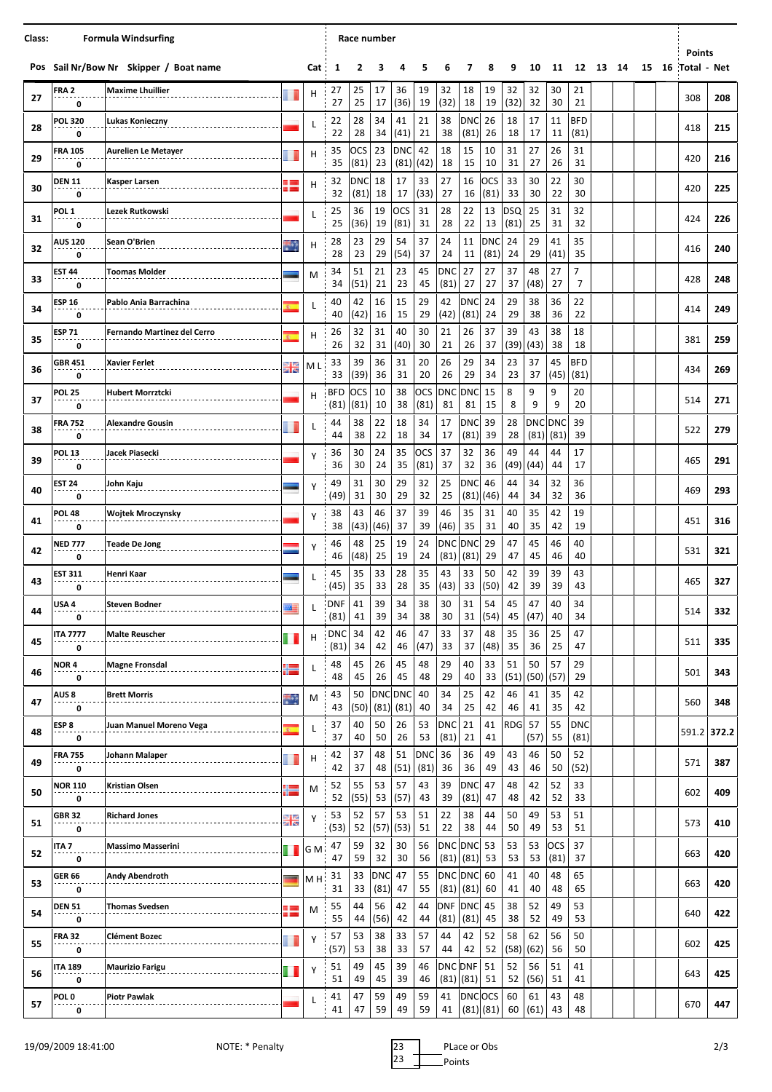| Class: | <b>Formula Windsurfing</b> |                                        |            |                |                    |                    | Race number        |                        |             |                    |                             |                    |                    |                 |                    |                    |          |  |  |                                  |     |
|--------|----------------------------|----------------------------------------|------------|----------------|--------------------|--------------------|--------------------|------------------------|-------------|--------------------|-----------------------------|--------------------|--------------------|-----------------|--------------------|--------------------|----------|--|--|----------------------------------|-----|
|        |                            | Pos Sail Nr/Bow Nr Skipper / Boat name |            | Cat            | 1                  | 2                  | 3                  | 4                      | 5           | 6                  | 7                           | 8                  | 9                  | 10              | 11                 |                    | 12 13 14 |  |  | <b>Points</b><br>15 16 Total Net |     |
| 27     | FRA 2<br>0                 | <b>Maxime Lhuillier</b>                |            | н              | 27<br>27           | 25<br>25           | 17<br>17           | 36<br>(36)             | 19<br>19    | 32<br>(32)         | 18<br>18                    | 19<br>19           | 32<br>(32)         | 32<br>32        | 30<br>30           | 21<br>21           |          |  |  | 308                              | 208 |
| 28     | <b>POL 320</b><br>0        | Lukas Konieczny                        |            | L              | 22<br>22           | 28<br>28           | 34<br>34           | 41<br>(41)             | 21<br>21    | 38<br>38           | <b>DNC</b><br>(81)          | 26<br>26           | 18<br>18           | 17<br>17        | 11<br>11           | <b>BFD</b><br>(81) |          |  |  | 418                              | 215 |
| 29     | <b>FRA 105</b><br>0        | <b>Aurelien Le Metayer</b>             |            | н              | 35<br>35           | ocs<br>(81)        | 23<br>23           | <b>DNC</b><br>(81)     | 42<br>(42)  | 18<br>18           | 15<br>15                    | 10<br>10           | 31<br>31           | 27<br>27        | 26<br>26           | 31<br>31           |          |  |  | 420                              | 216 |
| 30     | <b>DEN 11</b><br>0         | <b>Kasper Larsen</b>                   | . .        | н              | 32<br>32           | <b>DNC</b><br>(81) | 18<br>18           | 17<br>17               | 33<br>(33)  | 27<br>27           | 16<br>16                    | OCS<br>(81)        | 33<br>33           | 30<br>30        | 22<br>22           | 30<br>30           |          |  |  | 420                              | 225 |
| 31     | POL <sub>1</sub><br>0      | Lezek Rutkowski                        |            | L              | 25<br>25           | 36<br>(36)         | 19<br>19           | <b>OCS</b><br>(81)     | 31<br>31    | 28<br>28           | 22<br>22                    | 13<br>13           | <b>DSQ</b><br>(81) | 25<br>25        | 31<br>31           | 32<br>32           |          |  |  | 424                              | 226 |
| 32     | <b>AUS 120</b><br>0        | Sean O'Brien                           |            | н              | 28<br>28           | 23<br>23           | 29<br>29           | 54<br>(54)             | 37<br>37    | 24<br>24           | 11<br>11                    | <b>DNC</b><br>(81) | 24<br>24           | 29<br>29        | 41<br>(41)         | 35<br>35           |          |  |  | 416                              | 240 |
| 33     | <b>EST 44</b><br>0         | <b>Toomas Molder</b>                   |            | M              | 34<br>34           | 51<br>(51)         | 21<br>21           | 23<br>23               | 45<br>45    | DNC<br>(81)        | 27<br>27                    | 27<br>27           | 37<br>37           | 48<br>(48)      | 27<br>27           | 7<br>7             |          |  |  | 428                              | 248 |
| 34     | <b>ESP 16</b><br>0         | Pablo Ania Barrachina                  |            | L              | 40<br>40           | 42<br>(42)         | 16<br>16           | 15<br>15               | 29<br>29    | 42<br>(42)         | <b>DNC</b><br>(81)          | 24<br>24           | 29<br>29           | 38<br>38        | 36<br>36           | 22<br>22           |          |  |  | 414                              | 249 |
| 35     | <b>ESP 71</b><br>0         | Fernando Martinez del Cerro            |            | н              | 26<br>26           | 32<br>32           | 31<br>31           | 40<br>(40)             | 30<br>30    | 21<br>21           | 26<br>26                    | 37<br>37           | 39<br>(39)         | 43<br>(43)      | 38<br>38           | 18<br>18           |          |  |  | 381                              | 259 |
| 36     | <b>GBR 451</b><br>0        | Xavier Ferlet                          | 꾥          | ΜL             | 33<br>33           | 39<br>(39)         | 36<br>36           | 31<br>31               | 20<br>20    | 26<br>26           | 29<br>29                    | 34<br>34           | 23<br>23           | 37<br>37        | 45<br>(45)         | <b>BFD</b><br>(81) |          |  |  | 434                              | 269 |
| 37     | <b>POL 25</b><br>0         | <b>Hubert Morrztcki</b>                |            | н              | <b>BFD</b><br>(81) | ocs<br>(81)        | 10<br>10           | 38<br>38               | OCS<br>(81) | 81                 | DNC DNC<br>81               | 15<br>15           | 8<br>8             | 9<br>9          | 9<br>9             | 20<br>20           |          |  |  | 514                              | 271 |
| 38     | <b>FRA 752</b><br>0        | <b>Alexandre Gousin</b>                |            | L              | 44<br>44           | 38<br>38           | 22<br>22           | 18<br>18               | 34<br>34    | 17<br>17           | <b>DNC</b><br>(81)          | 39<br>39           | 28<br>28           | DNC DNC<br>(81) | (81)               | 39<br>39           |          |  |  | 522                              | 279 |
| 39     | <b>POL 13</b><br>0         | Jacek Piasecki                         |            | Y              | 36<br>36           | 30<br>30           | 24<br>24           | 35<br>35               | OCS<br>(81) | 37<br>37           | 32<br>32                    | 36<br>36           | 49<br>(49)         | 44<br>(44)      | 44<br>44           | 17<br>17           |          |  |  | 465                              | 291 |
| 40     | EST 24<br>0                | John Kaju                              |            | Υ              | 49<br>(49)         | 31<br>31           | 30<br>30           | 29<br>29               | 32<br>32    | 25<br>25           | <b>DNC</b>                  | 46<br>$(81)$ (46)  | 44<br>44           | 34<br>34        | 32<br>32           | 36<br>36           |          |  |  | 469                              | 293 |
| 41     | <b>POL 48</b><br>0         | <b>Wojtek Mroczynsky</b>               |            | Υ              | 38<br>38           | 43<br>(43)         | 46<br>(46)         | 37<br>37               | 39<br>39    | 46<br>(46)         | 35<br>35                    | 31<br>31           | 40<br>40           | 35<br>35        | 42<br>42           | 19<br>19           |          |  |  | 451                              | 316 |
| 42     | <b>NED 777</b><br>0        | <b>Teade De Jong</b>                   |            | Υ              | 46<br>46           | 48<br>(48)         | 25<br>25           | 19<br>19               | 24<br>24    | <b>DNC</b><br>(81) | <b>DNC</b><br>(81)          | 29<br>29           | 47<br>47           | 45<br>45        | 46<br>46           | 40<br>40           |          |  |  | 531                              | 321 |
| 43     | <b>EST 311</b><br>0        | Henri Kaar                             |            | L              | 45<br>(45)         | 35<br>35           | 33<br>33           | 28<br>28               | 35<br>35    | 43<br>(43)         | 33<br>33                    | 50<br>(50)         | 42<br>42           | 39<br>39        | 39<br>39           | 43<br>43           |          |  |  | 465                              | 327 |
| 44     | USA 4<br>0                 | <b>Steven Bodner</b>                   | 酉          | L,             | <b>DNF</b><br>(81) | 41<br>41           | 39<br>39           | 34<br>34               | 38<br>38    | 30<br>30           | 31<br>31                    | 54<br>(54)         | 45<br>45           | 47<br>(47)      | 40<br>40           | 34<br>34           |          |  |  | 514                              | 332 |
| 45     | <b>ITA 7777</b><br>0       | <b>Malte Reuscher</b>                  |            | н              | <b>DNC</b><br>(81) | 34<br>34           | 42<br>42           | 46<br>46               | 47<br>(47)  | 33<br>33           | 37<br>37                    | 48<br>(48)         | 35<br>35           | 36<br>36        | 25<br>25           | 47<br>47           |          |  |  | 511                              | 335 |
| 46     | NOR 4<br>0                 | <b>Magne Fronsdal</b>                  |            | L              | 48<br>48           | 45<br>45           | 26<br>26           | 45<br>45               | 48<br>48    | 29<br>29           | 40<br>40                    | 33<br>33           | 51<br>(51)         | 50<br>(50)      | 57<br>(57)         | 29<br>29           |          |  |  | 501                              | 343 |
| 47     | AUS <sub>8</sub><br>0      | <b>Brett Morris</b>                    | 56         | М              | 43<br>43           | 50<br>(50)         | (81)               | <b>DNC DNC</b><br>(81) | 40<br>40    | 34<br>34           | 25<br>25                    | 42<br>42           | 46<br>46           | 41<br>41        | 35<br>35           | 42<br>42           |          |  |  | 560                              | 348 |
| 48     | ESP 8<br>0                 | Juan Manuel Moreno Vega                | ×.         | L              | 37<br>37           | 40<br>40           | 50<br>50           | 26<br>26               | 53<br>53    | <b>DNC</b><br>(81) | 21<br>21                    | 41<br>41           | <b>RDG</b>         | 57<br>(57)      | 55<br>55           | <b>DNC</b><br>(81) |          |  |  | 591.2 372.2                      |     |
| 49     | <b>FRA 755</b><br>0        | Johann Malaper                         |            | н              | 42<br>42           | 37<br>37           | 48<br>48           | 51<br>(51)             | DNC<br>(81) | 36<br>36           | 36<br>36                    | 49<br>49           | 43<br>43           | 46<br>46        | 50<br>50           | 52<br>(52)         |          |  |  | 571                              | 387 |
| 50     | <b>NOR 110</b><br>0        | Kristian Olsen                         |            | М              | 52<br>52           | 55<br>(55)         | 53<br>53           | 57<br>(57)             | 43<br>43    | 39<br>39           | <b>DNC</b><br>(81)          | 47<br>47           | 48<br>48           | 42<br>42        | 52<br>52           | 33<br>33           |          |  |  | 602                              | 409 |
| 51     | <b>GBR 32</b><br>0         | <b>Richard Jones</b>                   | b le<br>医尿 | Υ              | 53<br>(53)         | 52<br>52           | 57<br>(57)         | 53<br>(53)             | 51<br>51    | 22<br>22           | 38<br>38                    | 44<br>44           | 50<br>50           | 49<br>49        | 53<br>53           | 51<br>51           |          |  |  | 573                              | 410 |
| 52     | ITA 7                      | <b>Massimo Masserini</b>               |            | G M            | 47<br>47           | 59<br>59           | 32<br>32           | 30<br>30               | 56<br>56    |                    | DNC DNC<br>$(81)$ $(81)$    | 53<br>53           | 53<br>53           | 53<br>53        | <b>OCS</b><br>(81) | 37<br>37           |          |  |  | 663                              | 420 |
| 53     | 0<br><b>GER 66</b><br>0    | Andy Abendroth                         |            | M <sub>H</sub> | 31<br>31           | 33<br>33           | <b>DNC</b><br>(81) | 47<br>47               | 55<br>55    |                    | DNC DNC 60<br>$(81)$ $(81)$ | 60                 | 41<br>41           | 40<br>40        | 48<br>48           | 65<br>65           |          |  |  | 663                              | 420 |
| 54     | <b>DEN 51</b><br>0         | <b>Thomas Svedsen</b>                  |            | M              | 55<br>55           | 44<br>44           | 56<br>(56)         | 42<br>42               | 44<br>44    | <b>DNF</b><br>(81) | <b>DNC</b> 45<br>(81)       | 45                 | 38<br>38           | 52<br>52        | 49<br>49           | 53<br>53           |          |  |  | 640                              | 422 |
| 55     | <b>FRA 32</b><br>0         | <b>Clément Bozec</b>                   |            | Υ              | 57<br>(57)         | 53<br>53           | 38<br>38           | 33<br>33               | 57<br>57    | 44<br>44           | 42<br>42                    | 52<br>52           | 58<br>(58)         | 62<br>(62)      | 56<br>56           | 50<br>50           |          |  |  | 602                              | 425 |
| 56     | <b>ITA 189</b><br>0        | <b>Maurizio Farigu</b>                 |            | Υ              | 51<br>51           | 49<br>49           | 45<br>45           | 39<br>39               | 46<br>46    |                    | DNC DNF<br>$(81)$ $(81)$    | 51<br>51           | 52<br>52           | 56<br>(56)      | 51<br>51           | 41<br>41           |          |  |  | 643                              | 425 |
| 57     | POL 0<br>0                 | <b>Piotr Pawlak</b>                    |            | L              | 41<br>41           | 47<br>47           | 59<br>59           | 49<br>49               | 59<br>59    | 41<br>41           | DNCOCS                      | $(81)$ $(81)$      | 60<br>60           | 61<br>(61)      | 43<br>43           | 48<br>48           |          |  |  | 670                              | 447 |